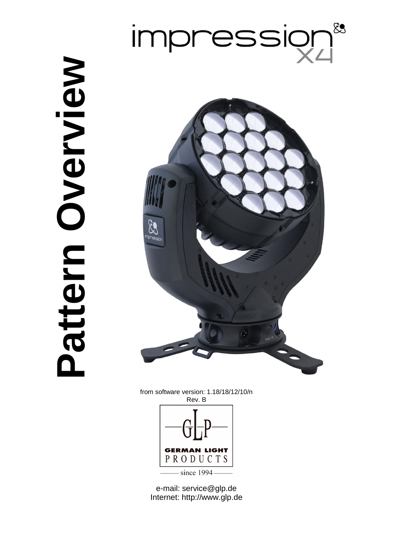## 83 impressio

**Pattern Overview** Pattern Overview



from software version: 1.18/18/12/10/n Rev. B

<span id="page-0-0"></span>

e-mail: service@glp.de Internet: http://www.glp.de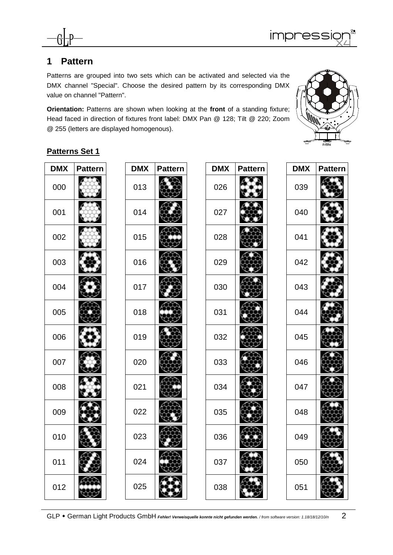

## **Pattern**

Patterns are grouped into two sets which can be activated and selected via the DMX channel "Special". Choose the desired pattern by its corresponding DMX value on channel "Pattern".

**Orientation:** Patterns are shown when looking at the **front** of a standing fixture; Head faced in direction of fixtures front label: DMX Pan @ 128; Tilt @ 220; Zoom @ 255 (letters are displayed homogenous).



## **Patterns Set 1**

| <b>DMX</b> | <b>Pattern</b> | <b>DMX</b> | Pattern |
|------------|----------------|------------|---------|
| 000        |                | 013        |         |
| 001        |                | 014        |         |
| 002        |                | 015        |         |
| 003        |                | 016        |         |
| 004        |                | 017        |         |
| 005        |                | 018        |         |
| 006        |                | 019        |         |
| 007        |                | 020        |         |
| 008        |                | 021        |         |
| 009        |                | 022        |         |
| 010        |                | 023        |         |
| 011        |                | 024        |         |
| 012        |                | 025        |         |

| <b>DMX</b> | <b>Pattern</b> | <b>DMX</b> | <b>Pattern</b> |
|------------|----------------|------------|----------------|
| 026        |                | 039        |                |
| 027        |                | 040        |                |
| 028        |                | 041        |                |
| 029        |                | 042        |                |
| 030        |                | 043        |                |
| 031        |                | 044        |                |
| 032        |                | 045        |                |
| 033        |                | 046        |                |
| 034        |                | 047        |                |
| 035        |                | 048        |                |
| 036        |                | 049        |                |
| 037        |                | 050        |                |
| 038        |                | 051        |                |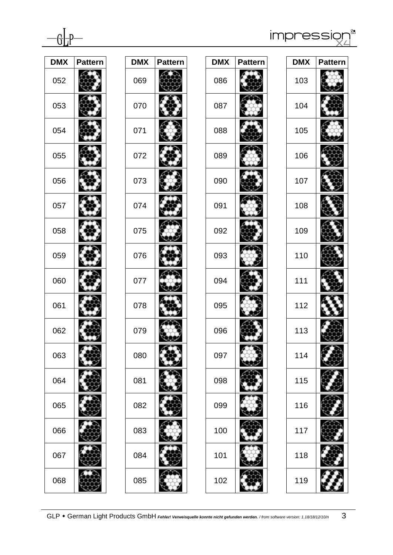

impressiq &<br>|

| <b>DMX</b> | <b>Pattern</b> | <b>DMX</b> |
|------------|----------------|------------|
|            |                |            |
| 052        |                | 069        |
| 053        |                | 070        |
| 054        |                | 071        |
| 055        |                | 072        |
| 056        |                | 073        |
| 057        |                | 074        |
| 058        |                | 075        |
| 059        |                | 076        |
| 060        |                | 077        |
| 061        |                | 078        |
| 062        |                | 079        |
| 063        |                | 080        |
| 064        |                | 081        |
| 065        |                | 082        |
| 066        |                | 083        |
| 067        |                | 084        |
| 068        |                | 085        |

| <b>DMX</b> | <b>Pattern</b> |  |
|------------|----------------|--|
| 069        |                |  |
| 070        |                |  |
| 071        |                |  |
| 072        |                |  |
| 073        |                |  |
| 074        |                |  |
| 075        |                |  |
| 076        |                |  |
| 077        |                |  |
| 078        |                |  |
| 079        |                |  |
| 080        |                |  |
| 081        |                |  |
| 082        |                |  |
| 083        |                |  |
| 084        |                |  |
| 085        |                |  |
|            |                |  |

| <b>DMX</b> | <b>Pattern</b> |  |
|------------|----------------|--|
| 086        |                |  |
| 087        |                |  |
| 088        |                |  |
| 089        |                |  |
| 090        |                |  |
| 091        |                |  |
| 092        |                |  |
| 093        |                |  |
| 094        |                |  |
| 095        |                |  |
| 096        |                |  |
| 097        |                |  |
| 098        |                |  |
| 099        |                |  |
| 100        |                |  |
| 101        |                |  |
| 102        |                |  |

| <b>DMX</b> | Pattern |
|------------|---------|
| 103        |         |
| 104        |         |
| 105        |         |
| 106        |         |
| 107        |         |
| 108        |         |
| 109        |         |
| 110        |         |
| 111        |         |
| 112        |         |
| 113        |         |
| 114        |         |
| 115        |         |
| 116        |         |
| 117        |         |
| 118        |         |
| 119        |         |

GLP • German Light Products GmbH *Fehler! Verweisquelle konnte nicht gefunden werden.* [/ from software version: 1.18/18/12/10/n](#page-0-0) 3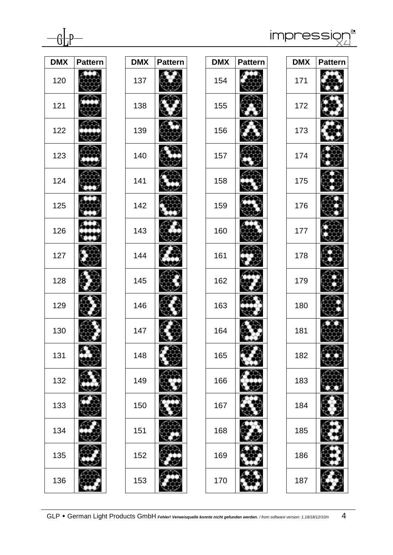impressi &<br>1

| <b>DMX</b> | <b>Pattern</b> |  |
|------------|----------------|--|
|            |                |  |
| 120        |                |  |
| 121        |                |  |
| 122        |                |  |
| 123        |                |  |
| 124        |                |  |
| 125        |                |  |
| 126        |                |  |
| 127        |                |  |
| 128        |                |  |
| 129        |                |  |
| 130        |                |  |
| 131        |                |  |
| 132        |                |  |
| 133        |                |  |
| 134        |                |  |
| 135        |                |  |
| 136        |                |  |

| <b>DMX</b> | Pattern |
|------------|---------|
| 137        |         |
| 138        |         |
| 139        |         |
| 140        |         |
| 141        |         |
| 142        |         |
| 143        |         |
| 144        |         |
| 145        |         |
| 146        |         |
| 147        |         |
| 148        |         |
| 149        |         |
| 150        |         |
| 151        |         |
| 152        |         |

| <b>DMX</b> | <b>Pattern</b> |  |
|------------|----------------|--|
| 154        |                |  |
| 155        |                |  |
| 156        |                |  |
| 157        |                |  |
| 158        |                |  |
| 159        |                |  |
| 160        |                |  |
| 161        |                |  |
| 162        |                |  |
| 163        |                |  |
| 164        |                |  |
| 165        |                |  |
| 166        |                |  |
| 167        |                |  |
| 168        |                |  |
| 169        |                |  |
| 170        |                |  |

| <b>DMX</b> | Pattern |
|------------|---------|
| 171        |         |
| 172        |         |
| 173        |         |
| 174        |         |
| 175        |         |
| 176        |         |
| 177        |         |
| 178        |         |
| 179        |         |
| 180        |         |
| 181        |         |
| 182        |         |
| 183        |         |
| 184        |         |
| 185        |         |
| 186        |         |
| 187        |         |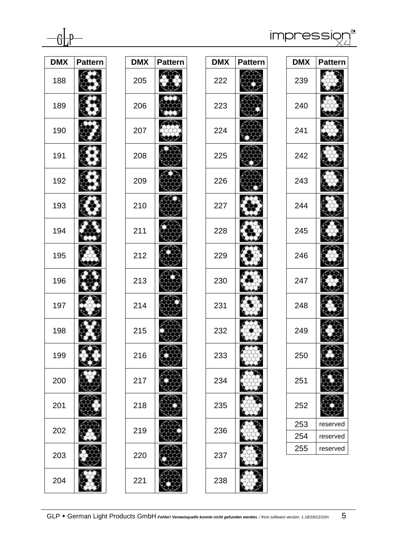

impressi 

| <b>DMX</b> | <b>Pattern</b> | <b>DMX</b> |
|------------|----------------|------------|
| 188        |                | 205        |
| 189        |                | 206        |
| 190        |                | 207        |
| 191        |                | 208        |
| 192        |                | 209        |
| 193        |                | 210        |
| 194        |                | 211        |
| 195        |                | 212        |
| 196        |                | 213        |
| 197        |                | 214        |
| 198        |                | 215        |
| 199        |                | 216        |
| 200        |                | 217        |
| 201        |                | 218        |
| 202        |                | 219        |
| 203        |                | 220        |
| 204        |                | 221        |

| <b>DMX</b> | <b>Pattern</b> |
|------------|----------------|
| 205        |                |
| 206        |                |
| 207        |                |
| 208        |                |
| 209        |                |
| 210        |                |
| 211        |                |
| 212        |                |
| 213        |                |
| 214        |                |
| 215        |                |
| 216        |                |
| 217        |                |
| 218        |                |
| 219        |                |
| 220        |                |

| <b>DMX</b> | Pattern |
|------------|---------|
| 222        |         |
| 223        |         |
| 224        |         |
| 225        |         |
| 226        |         |
| 227        |         |
| 228        |         |
| 229        |         |
| 230        |         |
| 231        |         |
| 232        |         |
| 233        |         |
| 234        |         |
| 235        |         |
| 236        |         |
| 237        |         |
| 238        |         |

| <b>DMX</b> | <b>Pattern</b> |
|------------|----------------|
| 239        |                |
| 240        |                |
| 241        |                |
| 242        |                |
| 243        |                |
| 244        |                |
| 245        |                |
| 246        |                |
| 247        |                |
| 248        |                |
| 249        |                |
| 250        |                |
| 251        |                |
| 252        |                |
| 253        | reserved       |
| 254        | reserved       |
| 255        | reserved       |
|            |                |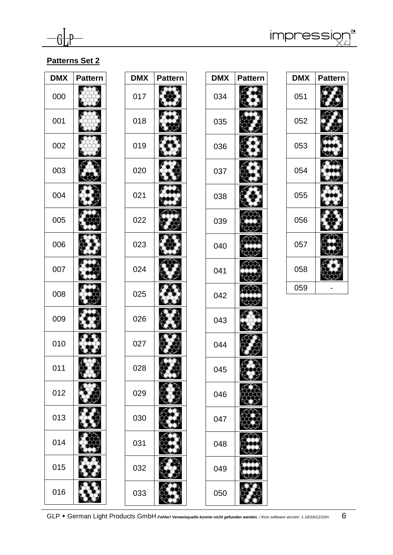

impression

## **Patterns Set 2**

| <b>DMX</b> | <b>Pattern</b> | <b>DMX</b> | <b>Pattern</b> |
|------------|----------------|------------|----------------|
| 000        |                | 017        |                |
| 001        |                | 018        |                |
| 002        |                | 019        |                |
| 003        |                | 020        |                |
| 004        |                | 021        |                |
| 005        |                | 022        |                |
| 006        |                | 023        |                |
| 007        |                | 024        |                |
| 008        |                | 025        |                |
| 009        |                | 026        |                |
| 010        |                | 027        |                |
| 011        |                | 028        |                |
| 012        |                | 029        |                |
| 013        |                | 030        |                |
| 014        |                | 031        |                |
| 015        |                | 032        |                |
| 016        |                | 033        |                |

| <b>DMX</b> | <b>Pattern</b> |
|------------|----------------|
| 034        |                |
| 035        |                |
| 036        |                |
| 037        |                |
| 038        |                |
| 039        |                |
| 040        |                |
| 041        |                |
| 042        |                |
| 043        |                |
| 044        |                |
| 045        |                |
| 046        |                |
| 047        |                |
| 048        |                |
| 049        |                |
| 050        |                |

| <b>DMX</b> | Pattern |
|------------|---------|
| 051        |         |
| 052        |         |
| 053        |         |
| 054        |         |
| 055        |         |
| 056        |         |
| 057        |         |
| 058        |         |
| 059        |         |



W.